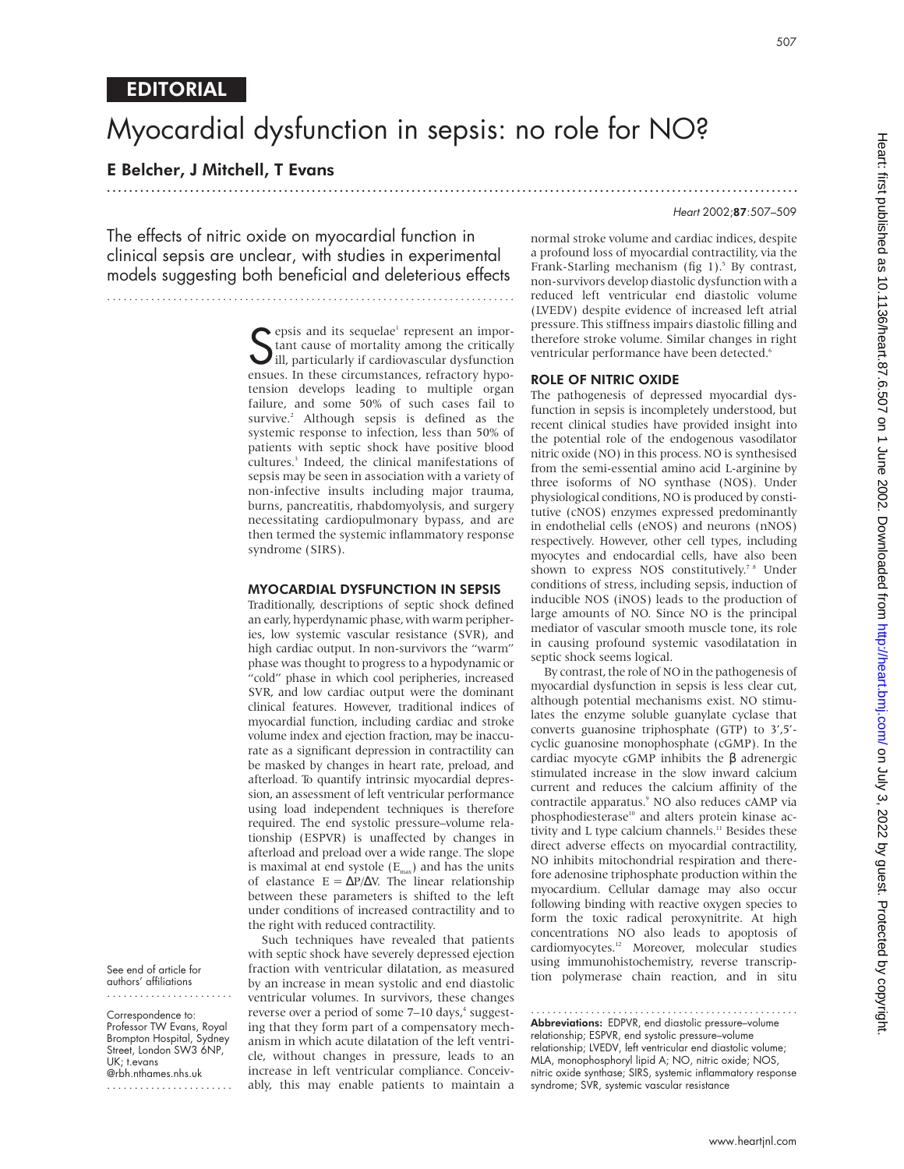# Myocardial dysfunction in sepsis: no role for NO?

.............................................................................................................................

## E Belcher, J Mitchell, T Evans

The effects of nitric oxide on myocardial function in clinical sepsis are unclear, with studies in experimental models suggesting both beneficial and deleterious effects

### ..........................................................................

S epsis and its sequelae<sup>1</sup> represent an important cause of mortality among the critically<br>ill, particularly if cardiovascular dysfunction tant cause of mortality among the critically ill, particularly if cardiovascular dysfunction ensues. In these circumstances, refractory hypotension develops leading to multiple organ failure, and some 50% of such cases fail to survive.<sup>2</sup> Although sepsis is defined as the systemic response to infection, less than 50% of patients with septic shock have positive blood cultures.3 Indeed, the clinical manifestations of sepsis may be seen in association with a variety of non-infective insults including major trauma, burns, pancreatitis, rhabdomyolysis, and surgery necessitating cardiopulmonary bypass, and are then termed the systemic inflammatory response syndrome (SIRS).

#### MYOCARDIAL DYSFUNCTION IN SEPSIS

Traditionally, descriptions of septic shock defined an early, hyperdynamic phase, with warm peripheries, low systemic vascular resistance (SVR), and high cardiac output. In non-survivors the "warm" phase was thought to progress to a hypodynamic or "cold" phase in which cool peripheries, increased SVR, and low cardiac output were the dominant clinical features. However, traditional indices of myocardial function, including cardiac and stroke volume index and ejection fraction, may be inaccurate as a significant depression in contractility can be masked by changes in heart rate, preload, and afterload. To quantify intrinsic myocardial depression, an assessment of left ventricular performance using load independent techniques is therefore required. The end systolic pressure–volume relationship (ESPVR) is unaffected by changes in afterload and preload over a wide range. The slope is maximal at end systole  $(E_{\text{max}})$  and has the units of elastance  $E = \Delta P / \Delta V$ . The linear relationship between these parameters is shifted to the left under conditions of increased contractility and to the right with reduced contractility.

Such techniques have revealed that patients with septic shock have severely depressed ejection fraction with ventricular dilatation, as measured by an increase in mean systolic and end diastolic ventricular volumes. In survivors, these changes reverse over a period of some 7-10 days,<sup>4</sup> suggesting that they form part of a compensatory mechanism in which acute dilatation of the left ventricle, without changes in pressure, leads to an increase in left ventricular compliance. Conceivably, this may enable patients to maintain a

### Heart 2002;87:507–509

normal stroke volume and cardiac indices, despite a profound loss of myocardial contractility, via the Frank-Starling mechanism (fig 1).<sup>5</sup> By contrast, non-survivors develop diastolic dysfunction with a reduced left ventricular end diastolic volume (LVEDV) despite evidence of increased left atrial pressure. This stiffness impairs diastolic filling and therefore stroke volume. Similar changes in right ventricular performance have been detected.<sup>6</sup>

#### ROLE OF NITRIC OXIDE

The pathogenesis of depressed myocardial dysfunction in sepsis is incompletely understood, but recent clinical studies have provided insight into the potential role of the endogenous vasodilator nitric oxide (NO) in this process. NO is synthesised from the semi-essential amino acid L-arginine by three isoforms of NO synthase (NOS). Under physiological conditions, NO is produced by constitutive (cNOS) enzymes expressed predominantly in endothelial cells (eNOS) and neurons (nNOS) respectively. However, other cell types, including myocytes and endocardial cells, have also been shown to express NOS constitutively.<sup>78</sup> Under conditions of stress, including sepsis, induction of inducible NOS (iNOS) leads to the production of large amounts of NO. Since NO is the principal mediator of vascular smooth muscle tone, its role in causing profound systemic vasodilatation in septic shock seems logical.

By contrast, the role of NO in the pathogenesis of myocardial dysfunction in sepsis is less clear cut, although potential mechanisms exist. NO stimulates the enzyme soluble guanylate cyclase that converts guanosine triphosphate (GTP) to 3',5' cyclic guanosine monophosphate (cGMP). In the cardiac myocyte cGMP inhibits the β adrenergic stimulated increase in the slow inward calcium current and reduces the calcium affinity of the contractile apparatus.<sup>9</sup> NO also reduces cAMP via phosphodiesterase<sup>10</sup> and alters protein kinase activity and L type calcium channels.<sup>11</sup> Besides these direct adverse effects on myocardial contractility, NO inhibits mitochondrial respiration and therefore adenosine triphosphate production within the myocardium. Cellular damage may also occur following binding with reactive oxygen species to form the toxic radical peroxynitrite. At high concentrations NO also leads to apoptosis of cardiomyocytes.12 Moreover, molecular studies using immunohistochemistry, reverse transcription polymerase chain reaction, and in situ

................................................. Abbreviations: EDPVR, end diastolic pressure–volume relationship; ESPVR, end systolic pressure–volume relationship; LVEDV, left ventricular end diastolic volume; MLA, monophosphoryl lipid A; NO, nitric oxide; NOS, nitric oxide synthase; SIRS, systemic inflammatory response syndrome; SVR, systemic vascular resistance

See end of article for authors' affiliations .......................

Correspondence to: Professor TW Evans, Royal Brompton Hospital, Sydney Street, London SW3 6NP, UK; t.evans @rbh.nthames.nhs.uk .......................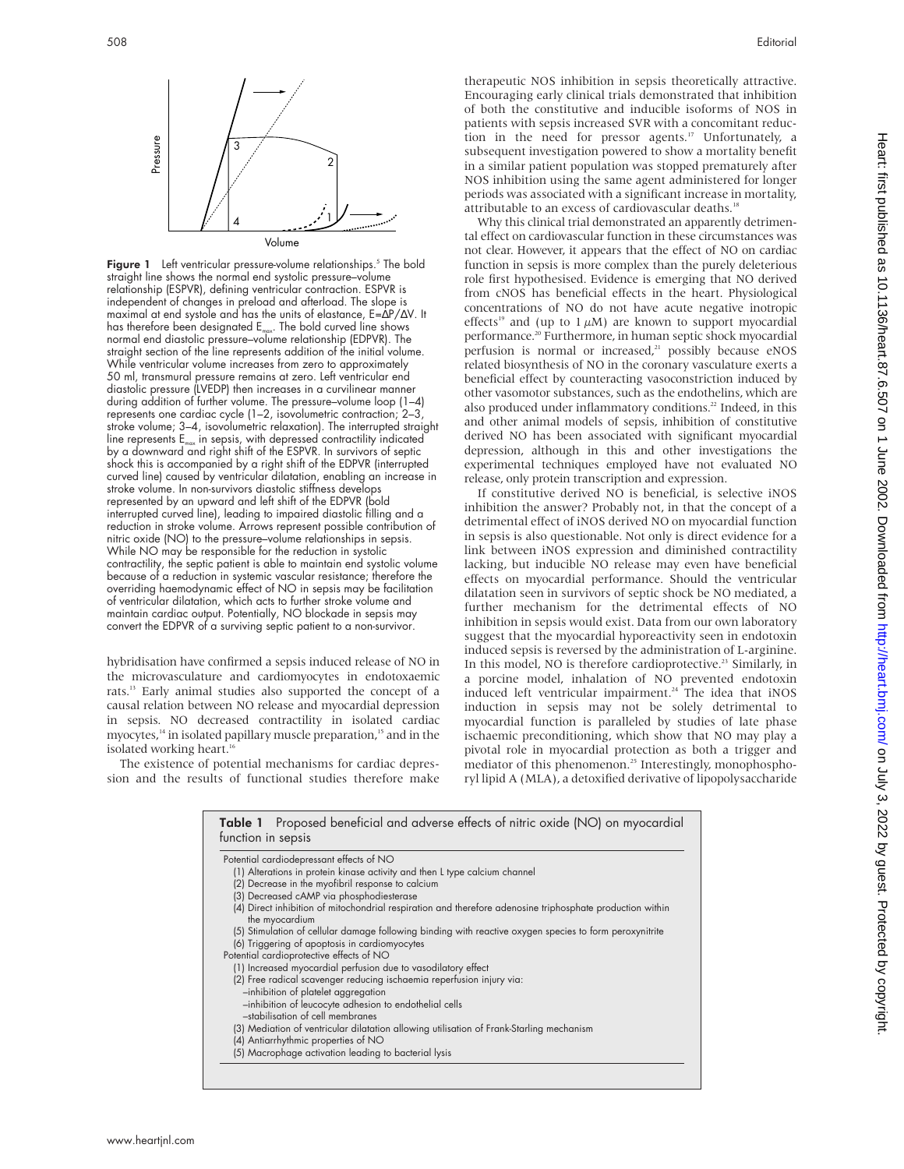

Figure 1 Left ventricular pressure-volume relationships.<sup>5</sup> The bold straight line shows the normal end systolic pressure–volume relationship (ESPVR), defining ventricular contraction. ESPVR is independent of changes in preload and afterload. The slope is maximal at end systole and has the units of elastance, E=∆P/∆V. It has therefore been designated E<sub>max</sub>. The bold curved line shows<br>normal end diastolic pressure–volume relationship (EDPVR). The straight section of the line represents addition of the initial volume. While ventricular volume increases from zero to approximately 50 ml, transmural pressure remains at zero. Left ventricular end diastolic pressure (LVEDP) then increases in a curvilinear manner during addition of further volume. The pressure–volume loop (1–4) represents one cardiac cycle (1–2, isovolumetric contraction; 2–3, stroke volume; 3–4, isovolumetric relaxation). The interrupted straight line represents E<sub>max</sub> in sepsis, with depressed contractility indicated by a downward and right shift of the ESPVR. In survivors of septic shock this is accompanied by a right shift of the EDPVR (interrupted curved line) caused by ventricular dilatation, enabling an increase in stroke volume. In non-survivors diastolic stiffness develops represented by an upward and left shift of the EDPVR (bold interrupted curved line), leading to impaired diastolic filling and a reduction in stroke volume. Arrows represent possible contribution of nitric oxide (NO) to the pressure–volume relationships in sepsis. While NO may be responsible for the reduction in systolic contractility, the septic patient is able to maintain end systolic volume because of a reduction in systemic vascular resistance; therefore the overriding haemodynamic effect of NO in sepsis may be facilitation of ventricular dilatation, which acts to further stroke volume and maintain cardiac output. Potentially, NO blockade in sepsis may convert the EDPVR of a surviving septic patient to a non-survivor.

hybridisation have confirmed a sepsis induced release of NO in the microvasculature and cardiomyocytes in endotoxaemic rats.13 Early animal studies also supported the concept of a causal relation between NO release and myocardial depression in sepsis. NO decreased contractility in isolated cardiac myocytes,<sup>14</sup> in isolated papillary muscle preparation,<sup>15</sup> and in the isolated working heart.<sup>1</sup>

The existence of potential mechanisms for cardiac depression and the results of functional studies therefore make therapeutic NOS inhibition in sepsis theoretically attractive. Encouraging early clinical trials demonstrated that inhibition of both the constitutive and inducible isoforms of NOS in patients with sepsis increased SVR with a concomitant reduction in the need for pressor agents.17 Unfortunately, a subsequent investigation powered to show a mortality benefit in a similar patient population was stopped prematurely after NOS inhibition using the same agent administered for longer periods was associated with a significant increase in mortality, attributable to an excess of cardiovascular deaths.<sup>18</sup>

Why this clinical trial demonstrated an apparently detrimental effect on cardiovascular function in these circumstances was not clear. However, it appears that the effect of NO on cardiac function in sepsis is more complex than the purely deleterious role first hypothesised. Evidence is emerging that NO derived from cNOS has beneficial effects in the heart. Physiological concentrations of NO do not have acute negative inotropic effects<sup>19</sup> and (up to  $1 \mu M$ ) are known to support myocardial performance.<sup>20</sup> Furthermore, in human septic shock myocardial perfusion is normal or increased,<sup>21</sup> possibly because eNOS related biosynthesis of NO in the coronary vasculature exerts a beneficial effect by counteracting vasoconstriction induced by other vasomotor substances, such as the endothelins, which are also produced under inflammatory conditions.<sup>22</sup> Indeed, in this and other animal models of sepsis, inhibition of constitutive derived NO has been associated with significant myocardial depression, although in this and other investigations the experimental techniques employed have not evaluated NO release, only protein transcription and expression.

If constitutive derived NO is beneficial, is selective iNOS inhibition the answer? Probably not, in that the concept of a detrimental effect of iNOS derived NO on myocardial function in sepsis is also questionable. Not only is direct evidence for a link between iNOS expression and diminished contractility lacking, but inducible NO release may even have beneficial effects on myocardial performance. Should the ventricular dilatation seen in survivors of septic shock be NO mediated, a further mechanism for the detrimental effects of NO inhibition in sepsis would exist. Data from our own laboratory suggest that the myocardial hyporeactivity seen in endotoxin induced sepsis is reversed by the administration of L-arginine. In this model, NO is therefore cardioprotective.<sup>23</sup> Similarly, in a porcine model, inhalation of NO prevented endotoxin induced left ventricular impairment.<sup>24</sup> The idea that iNOS induction in sepsis may not be solely detrimental to myocardial function is paralleled by studies of late phase ischaemic preconditioning, which show that NO may play a pivotal role in myocardial protection as both a trigger and mediator of this phenomenon.<sup>25</sup> Interestingly, monophosphoryl lipid A (MLA), a detoxified derivative of lipopolysaccharide

| Potential cardiodepressant effects of NO |                                                                                                           |
|------------------------------------------|-----------------------------------------------------------------------------------------------------------|
|                                          | (1) Alterations in protein kinase activity and then L type calcium channel                                |
|                                          | (2) Decrease in the myofibril response to calcium                                                         |
|                                          | (3) Decreased cAMP via phosphodiesterase                                                                  |
| the myocardium                           | (4) Direct inhibition of mitochondrial respiration and therefore adenosine triphosphate production within |
|                                          | (5) Stimulation of cellular damage following binding with reactive oxygen species to form peroxynitrite   |
|                                          | (6) Triggering of apoptosis in cardiomyocytes                                                             |
| Potential cardioprotective effects of NO |                                                                                                           |
|                                          | (1) Increased myocardial perfusion due to vasodilatory effect                                             |
|                                          | (2) Free radical scavenger reducing ischaemia reperfusion injury via:                                     |
| -inhibition of platelet aggregation      |                                                                                                           |
|                                          | -inhibition of leucocyte adhesion to endothelial cells                                                    |
| -stabilisation of cell membranes         |                                                                                                           |
|                                          | (3) Mediation of ventricular dilatation allowing utilisation of Frank-Starling mechanism                  |
| (4) Antiarrhythmic properties of NO      |                                                                                                           |
|                                          | (5) Macrophage activation leading to bacterial lysis                                                      |